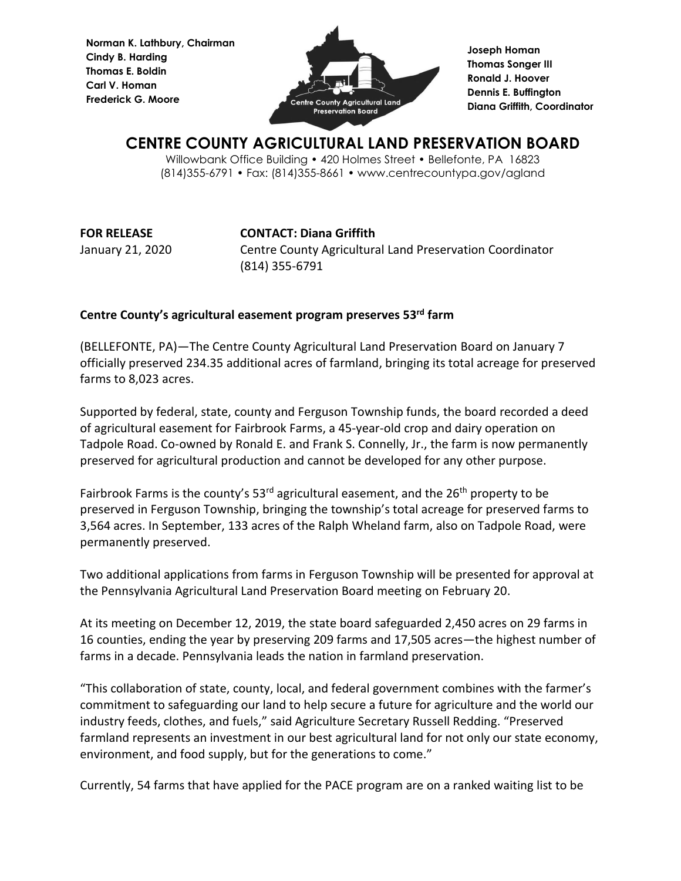**Norman K. Lathbury, Chairman Cindy B. Harding Thomas E. Boldin Carl V. Homan Frederick G. Moore**



**Joseph Homan Thomas Songer III Ronald J. Hoover Dennis E. Buffington Diana Griffith, Coordinator**

## **CENTRE COUNTY AGRICULTURAL LAND PRESERVATION BOARD**

Willowbank Office Building • 420 Holmes Street • Bellefonte, PA 16823 (814)355-6791 • Fax: (814)355-8661 • www.centrecountypa.gov/agland

**FOR RELEASE CONTACT: Diana Griffith** January 21, 2020 Centre County Agricultural Land Preservation Coordinator (814) 355-6791

## **Centre County's agricultural easement program preserves 53rd farm**

(BELLEFONTE, PA)—The Centre County Agricultural Land Preservation Board on January 7 officially preserved 234.35 additional acres of farmland, bringing its total acreage for preserved farms to 8,023 acres.

Supported by federal, state, county and Ferguson Township funds, the board recorded a deed of agricultural easement for Fairbrook Farms, a 45-year-old crop and dairy operation on Tadpole Road. Co-owned by Ronald E. and Frank S. Connelly, Jr., the farm is now permanently preserved for agricultural production and cannot be developed for any other purpose.

Fairbrook Farms is the county's  $53<sup>rd</sup>$  agricultural easement, and the  $26<sup>th</sup>$  property to be preserved in Ferguson Township, bringing the township's total acreage for preserved farms to 3,564 acres. In September, 133 acres of the Ralph Wheland farm, also on Tadpole Road, were permanently preserved.

Two additional applications from farms in Ferguson Township will be presented for approval at the Pennsylvania Agricultural Land Preservation Board meeting on February 20.

At its meeting on December 12, 2019, the state board safeguarded 2,450 acres on 29 farms in 16 counties, ending the year by preserving 209 farms and 17,505 acres—the highest number of farms in a decade. Pennsylvania leads the nation in farmland preservation.

"This collaboration of state, county, local, and federal government combines with the farmer's commitment to safeguarding our land to help secure a future for agriculture and the world our industry feeds, clothes, and fuels," said Agriculture Secretary Russell Redding. "Preserved farmland represents an investment in our best agricultural land for not only our state economy, environment, and food supply, but for the generations to come."

Currently, 54 farms that have applied for the PACE program are on a ranked waiting list to be